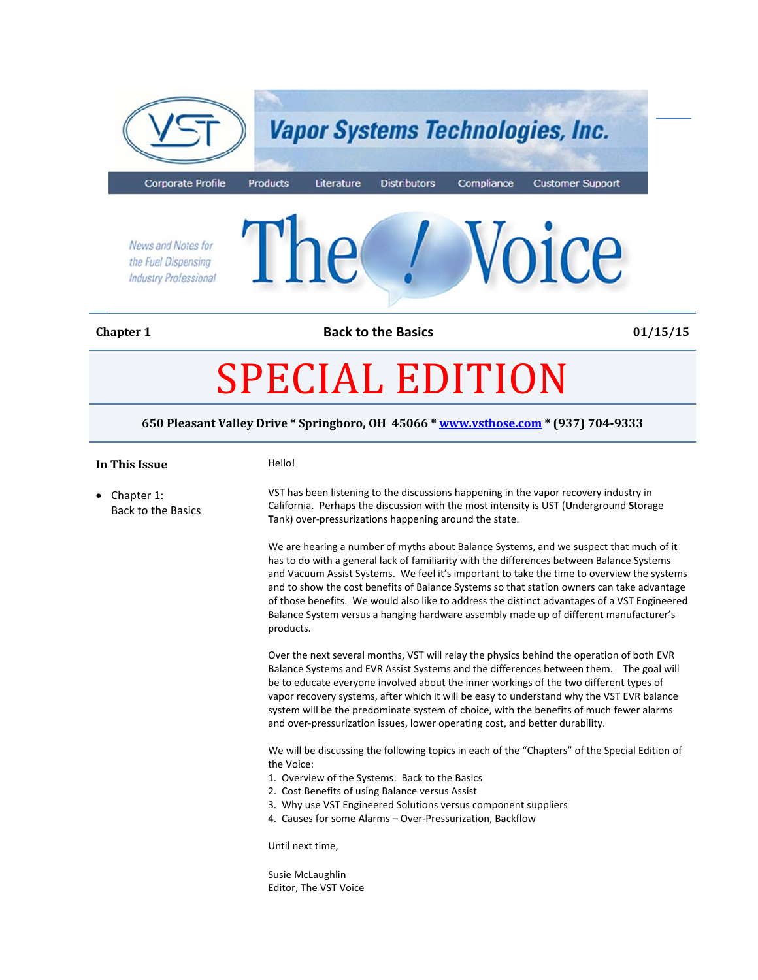

**Chapter 1 Back to the Basics 01/15/15**

# SPECIAL EDITION

**650 Pleasant Valley Drive \* Springboro, OH 45066 \* www.vsthose.com \* (937) 704‐9333**

#### **In This Issue Hello!**

• Chapter 1: Back to the Basics VST has been listening to the discussions happening in the vapor recovery industry in California. Perhaps the discussion with the most intensity is UST (**U**nderground **S**torage **T**ank) over‐pressurizations happening around the state.

> We are hearing a number of myths about Balance Systems, and we suspect that much of it has to do with a general lack of familiarity with the differences between Balance Systems and Vacuum Assist Systems. We feel it's important to take the time to overview the systems and to show the cost benefits of Balance Systems so that station owners can take advantage of those benefits. We would also like to address the distinct advantages of a VST Engineered Balance System versus a hanging hardware assembly made up of different manufacturer's products.

Over the next several months, VST will relay the physics behind the operation of both EVR Balance Systems and EVR Assist Systems and the differences between them. The goal will be to educate everyone involved about the inner workings of the two different types of vapor recovery systems, after which it will be easy to understand why the VST EVR balance system will be the predominate system of choice, with the benefits of much fewer alarms and over-pressurization issues, lower operating cost, and better durability.

We will be discussing the following topics in each of the "Chapters" of the Special Edition of the Voice:

- 1. Overview of the Systems: Back to the Basics
- 2. Cost Benefits of using Balance versus Assist
- 3. Why use VST Engineered Solutions versus component suppliers
- 4. Causes for some Alarms Over‐Pressurization, Backflow

Until next time,

Susie McLaughlin Editor, The VST Voice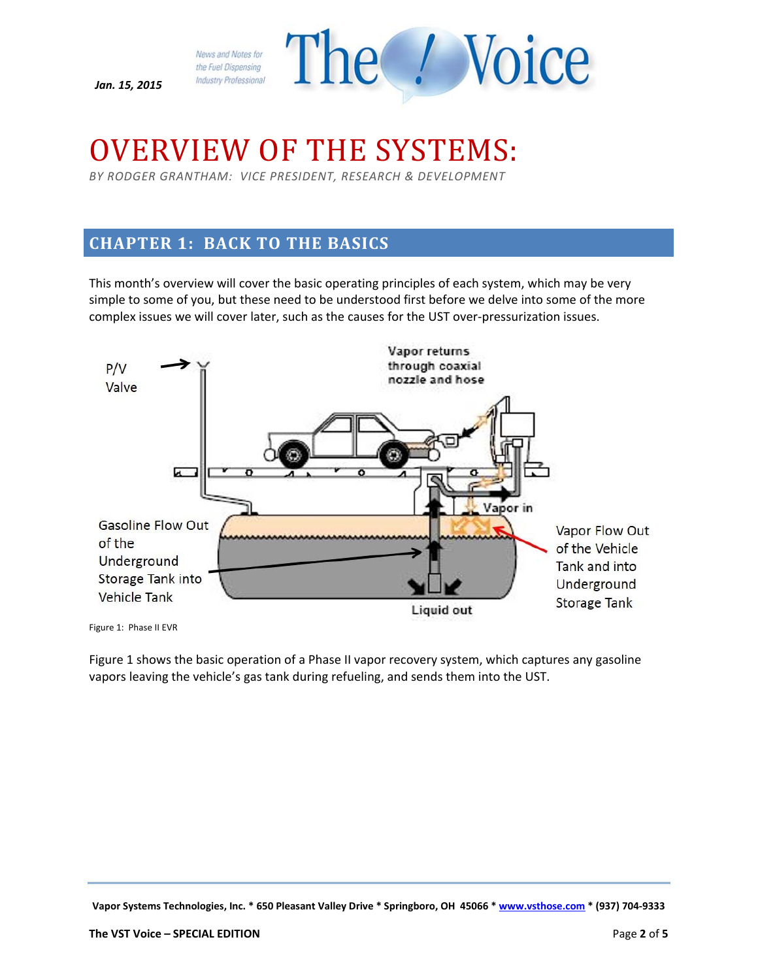*Jan. 15, 2015*



## OVERVIEW OF THE SYSTEMS:

*BY RODGER GRANTHAM: VICE PRESIDENT, RESEARCH & DEVELOPMENT*

## **CHAPTER 1: BACK TO THE BASICS**

This month's overview will cover the basic operating principles of each system, which may be very simple to some of you, but these need to be understood first before we delve into some of the more complex issues we will cover later, such as the causes for the UST over‐pressurization issues.



Figure 1: Phase II EVR

Figure 1 shows the basic operation of a Phase II vapor recovery system, which captures any gasoline vapors leaving the vehicle's gas tank during refueling, and sends them into the UST.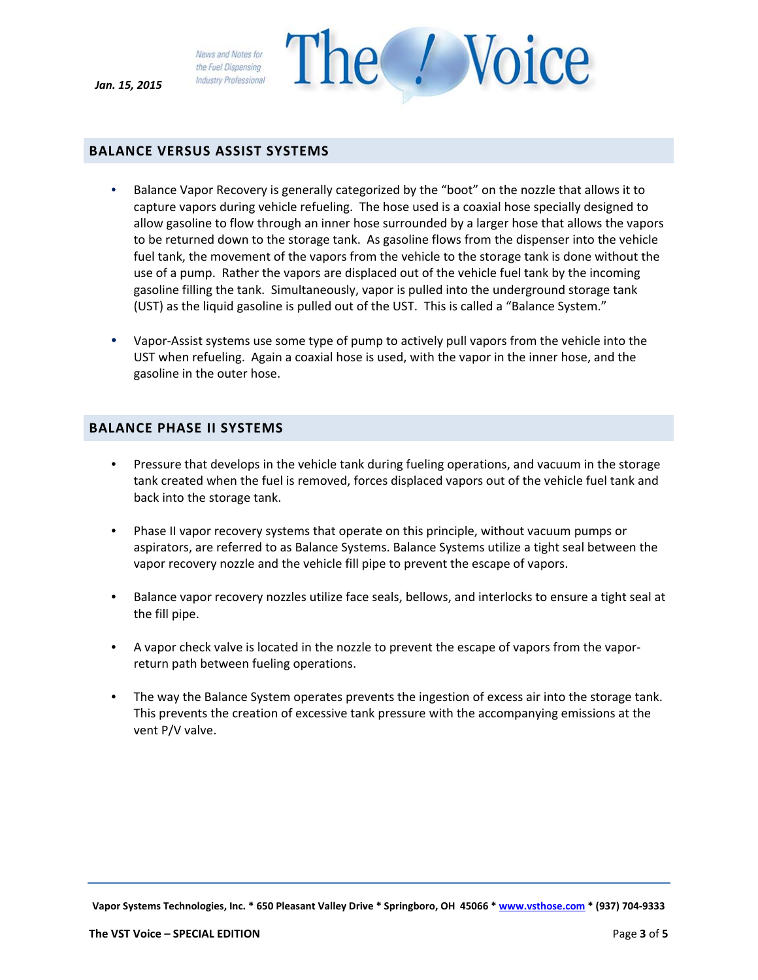*Jan. 15, 2015*

News and Notes for the Fuel Dispensing **Industry Professional** 



• Balance Vapor Recovery is generally categorized by the "boot" on the nozzle that allows it to capture vapors during vehicle refueling. The hose used is a coaxial hose specially designed to allow gasoline to flow through an inner hose surrounded by a larger hose that allows the vapors to be returned down to the storage tank. As gasoline flows from the dispenser into the vehicle fuel tank, the movement of the vapors from the vehicle to the storage tank is done without the use of a pump. Rather the vapors are displaced out of the vehicle fuel tank by the incoming gasoline filling the tank. Simultaneously, vapor is pulled into the underground storage tank (UST) as the liquid gasoline is pulled out of the UST. This is called a "Balance System."

The *N*oice

• Vapor‐Assist systems use some type of pump to actively pull vapors from the vehicle into the UST when refueling. Again a coaxial hose is used, with the vapor in the inner hose, and the gasoline in the outer hose.

#### **BALANCE PHASE II SYSTEMS**

- Pressure that develops in the vehicle tank during fueling operations, and vacuum in the storage tank created when the fuel is removed, forces displaced vapors out of the vehicle fuel tank and back into the storage tank.
- Phase II vapor recovery systems that operate on this principle, without vacuum pumps or aspirators, are referred to as Balance Systems. Balance Systems utilize a tight seal between the vapor recovery nozzle and the vehicle fill pipe to prevent the escape of vapors.
- Balance vapor recovery nozzles utilize face seals, bellows, and interlocks to ensure a tight seal at the fill pipe.
- A vapor check valve is located in the nozzle to prevent the escape of vapors from the vaporreturn path between fueling operations.
- The way the Balance System operates prevents the ingestion of excess air into the storage tank. This prevents the creation of excessive tank pressure with the accompanying emissions at the vent P/V valve.

Vapor Systems Technologies, Inc. \* 650 Pleasant Valley Drive \* Springboro, OH 45066 \* www.vsthose.com \* (937) 704-9333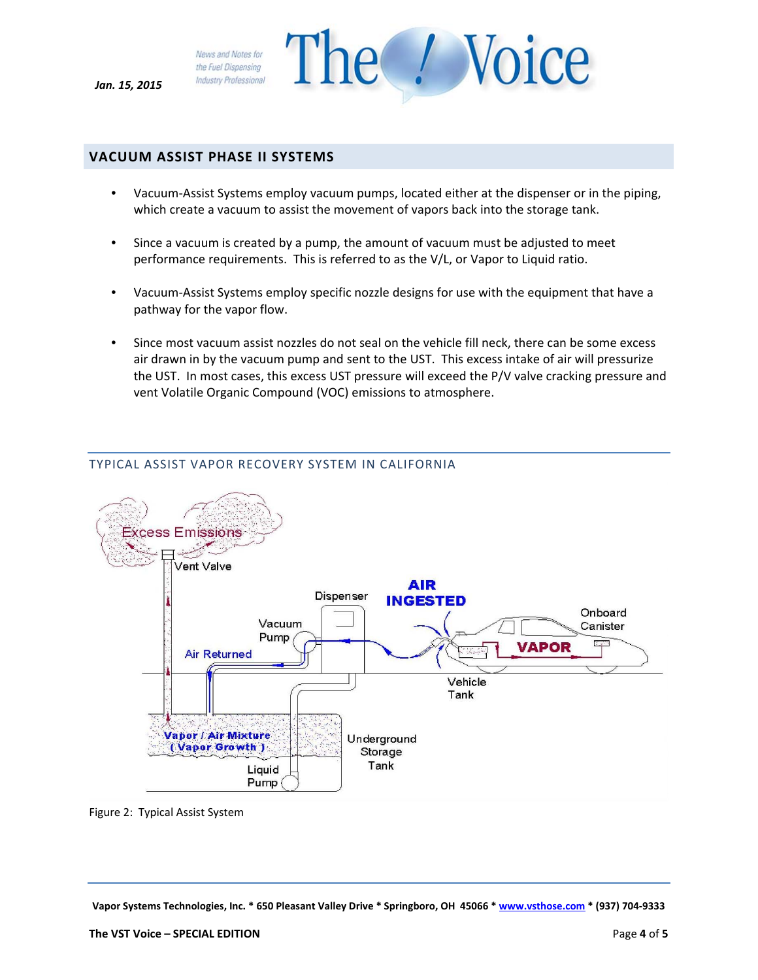*Jan. 15, 2015*



#### **VACUUM ASSIST PHASE II SYSTEMS**

- Vacuum-Assist Systems employ vacuum pumps, located either at the dispenser or in the piping, which create a vacuum to assist the movement of vapors back into the storage tank.
- Since a vacuum is created by a pump, the amount of vacuum must be adjusted to meet performance requirements. This is referred to as the V/L, or Vapor to Liquid ratio.
- Vacuum-Assist Systems employ specific nozzle designs for use with the equipment that have a pathway for the vapor flow.
- Since most vacuum assist nozzles do not seal on the vehicle fill neck, there can be some excess air drawn in by the vacuum pump and sent to the UST. This excess intake of air will pressurize the UST. In most cases, this excess UST pressure will exceed the P/V valve cracking pressure and vent Volatile Organic Compound (VOC) emissions to atmosphere.



#### TYPICAL ASSIST VAPOR RECOVERY SYSTEM IN CALIFORNIA

Figure 2: Typical Assist System

Vapor Systems Technologies, Inc. \* 650 Pleasant Valley Drive \* Springboro, OH 45066 \* www.vsthose.com \* (937) 704-9333